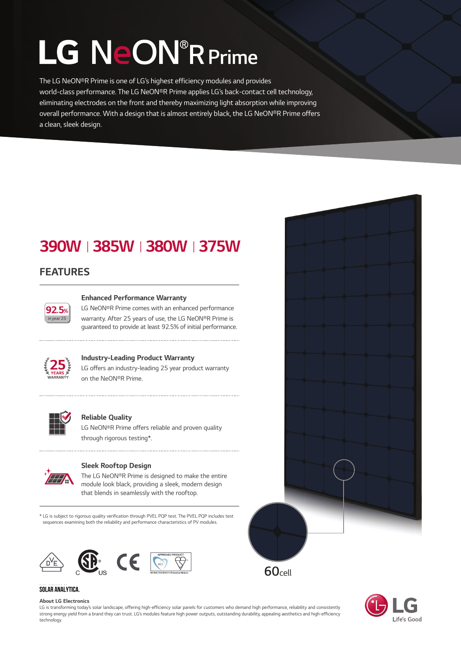# LG NeON<sup>®</sup>R Prime

The LG NeON®R Prime is one of LG's highest efficiency modules and provides world-class performance. The LG NeON®R Prime applies LG's back-contact cell technology, eliminating electrodes on the front and thereby maximizing light absorption while improving overall performance. With a design that is almost entirely black, the LG NeON®R Prime offers a clean, sleek design.

### 390WⅠ385WⅠ380WⅠ375W

#### FEATURES



#### Enhanced Performance Warranty

LG NeON®R Prime comes with an enhanced performance warranty. After 25 years of use, the LG NeON®R Prime is guaranteed to provide at least 92.5% of initial performance.



#### Industry-Leading Product Warranty

.....................................

LG offers an industry-leading 25 year product warranty on the NeONⓇR Prime.



#### Reliable Quality

LG NeON®R Prime offers reliable and proven quality through rigorous testing\*.



#### Sleek Rooftop Design

The LG NeON®R Prime is designed to make the entire module look black, providing a sleek, modern design that blends in seamlessly with the rooftop.

\* LG is subject to rigorous quality verification through PVEL PQP test. The PVEL PQP includes test sequences examining both the reliability and performance characteristics of PV modules.



#### **SOLAR ANALYTICA.**

#### About LG Electronics

LG is transforming today's solar landscape, offering high-efficiency solar panels for customers who demand high performance, reliability and consistently strong energy yield from a brand they can trust. LG's modules feature high power outputs, outstanding durability, appealing aesthetics and high-efficiency technology.